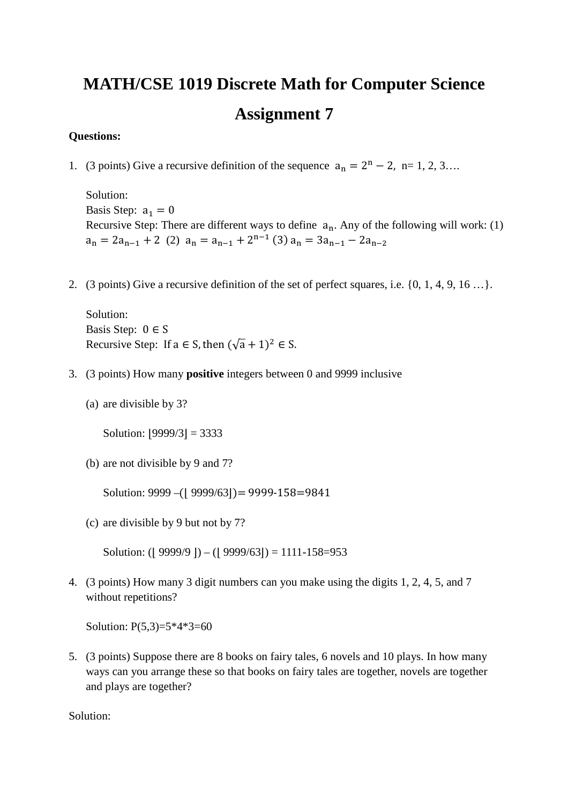## **MATH/CSE 1019 Discrete Math for Computer Science Assignment 7**

## **Questions:**

1. (3 points) Give a recursive definition of the sequence  $a_n = 2^n - 2$ , n= 1, 2, 3...

Solution: Basis Step:  $a_1 = 0$ Recursive Step: There are different ways to define  $a_n$ . Any of the following will work: (1)  $a_n = 2a_{n-1} + 2$  (2)  $a_n = a_{n-1} + 2^{n-1}$  (3)  $a_n = 3a_{n-1} - 2a_{n-2}$ 

2. (3 points) Give a recursive definition of the set of perfect squares, i.e. {0, 1, 4, 9, 16 …}.

Solution: Basis Step:  $0 \in S$ Recursive Step: If  $a \in S$ , then  $(\sqrt{a} + 1)^2 \in S$ .

- 3. (3 points) How many **positive** integers between 0 and 9999 inclusive
	- (a) are divisible by 3?

Solution:  $|9999/3| = 3333$ 

(b) are not divisible by 9 and 7?

Solution:  $9999 - (9999/63) = 9999-158=9841$ 

(c) are divisible by 9 but not by 7?

Solution: ( $|9999/9|$ ) – ( $|9999/63|$ ) = 1111-158=953

4. (3 points) How many 3 digit numbers can you make using the digits 1, 2, 4, 5, and 7 without repetitions?

Solution: P(5,3)=5\*4\*3=60

5. (3 points) Suppose there are 8 books on fairy tales, 6 novels and 10 plays. In how many ways can you arrange these so that books on fairy tales are together, novels are together and plays are together?

Solution: